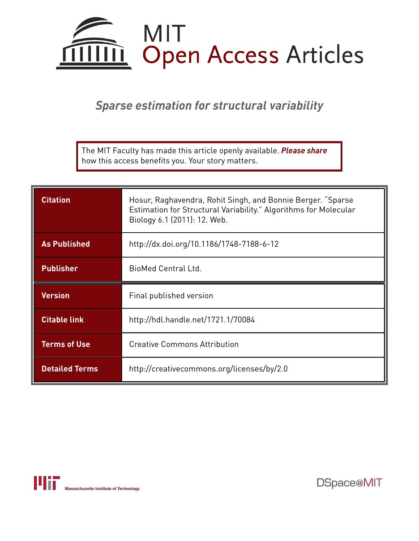

*Sparse estimation for structural variability*

The MIT Faculty has made this article openly available. *[Please](https://libraries.mit.edu/forms/dspace-oa-articles.html) share* how this access benefits you. Your story matters.

| <b>Citation</b>       | Hosur, Raghavendra, Rohit Singh, and Bonnie Berger. "Sparse<br>Estimation for Structural Variability." Algorithms for Molecular<br>Biology 6.1 (2011): 12. Web. |  |  |  |  |
|-----------------------|-----------------------------------------------------------------------------------------------------------------------------------------------------------------|--|--|--|--|
| <b>As Published</b>   | http://dx.doi.org/10.1186/1748-7188-6-12                                                                                                                        |  |  |  |  |
| <b>Publisher</b>      | <b>BioMed Central Ltd.</b>                                                                                                                                      |  |  |  |  |
| <b>Version</b>        | Final published version                                                                                                                                         |  |  |  |  |
| <b>Citable link</b>   | http://hdl.handle.net/1721.1/70084                                                                                                                              |  |  |  |  |
| <b>Terms of Use</b>   | <b>Creative Commons Attribution</b>                                                                                                                             |  |  |  |  |
| <b>Detailed Terms</b> | http://creativecommons.org/licenses/by/2.0                                                                                                                      |  |  |  |  |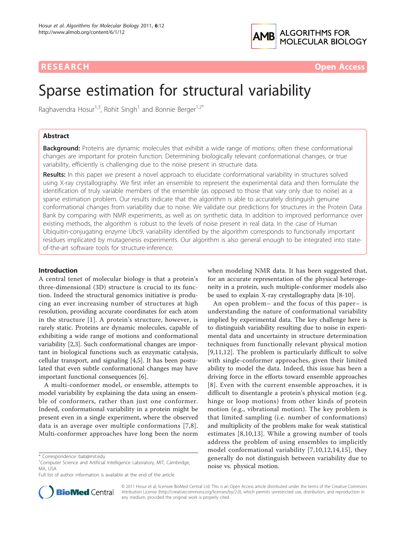

RESEARCH **CONTROLLER CONTROLLER CONTROLLER CONTROLLER CONTROLLER CONTROLLER CONTROLLER CONTROLLER CONTROLLER CONTROLLER CONTROLLER CONTROLLER CONTROLLER CONTROLLER CONTROLLER CONTROLLER CONTROLLER CONTROLLER CONTROLLER CON** 

# Sparse estimation for structural variability

Raghavendra Hosur<sup>1,3</sup>, Rohit Singh<sup>1</sup> and Bonnie Berger<sup>1,2\*</sup>

# Abstract

**Background:** Proteins are dynamic molecules that exhibit a wide range of motions; often these conformational changes are important for protein function. Determining biologically relevant conformational changes, or true variability, efficiently is challenging due to the noise present in structure data.

Results: In this paper we present a novel approach to elucidate conformational variability in structures solved using X-ray crystallography. We first infer an ensemble to represent the experimental data and then formulate the identification of truly variable members of the ensemble (as opposed to those that vary only due to noise) as a sparse estimation problem. Our results indicate that the algorithm is able to accurately distinguish genuine conformational changes from variability due to noise. We validate our predictions for structures in the Protein Data Bank by comparing with NMR experiments, as well as on synthetic data. In addition to improved performance over existing methods, the algorithm is robust to the levels of noise present in real data. In the case of Human Ubiquitin-conjugating enzyme Ubc9, variability identified by the algorithm corresponds to functionally important residues implicated by mutagenesis experiments. Our algorithm is also general enough to be integrated into stateof-the-art software tools for structure-inference.

# Introduction

A central tenet of molecular biology is that a protein's three-dimensional (3D) structure is crucial to its function. Indeed the structural genomics initiative is producing an ever increasing number of structures at high resolution, providing accurate coordinates for each atom in the structure [[1\]](#page-10-0). A protein's structure, however, is rarely static. Proteins are dynamic molecules, capable of exhibiting a wide range of motions and conformational variability [[2,3\]](#page-10-0). Such conformational changes are important in biological functions such as enzymatic catalysis, cellular transport, and signaling [\[4,5](#page-10-0)]. It has been postulated that even subtle conformational changes may have important functional consequences [[6\]](#page-10-0).

A multi-conformer model, or ensemble, attempts to model variability by explaining the data using an ensemble of conformers, rather than just one conformer. Indeed, conformational variability in a protein might be present even in a single experiment, where the observed data is an average over multiple conformations [[7](#page-10-0),[8\]](#page-10-0). Multi-conformer approaches have long been the norm



An open problem– and the focus of this paper– is understanding the nature of conformational variability implied by experimental data. The key challenge here is to distinguish variability resulting due to noise in experimental data and uncertainty in structure determination techniques from functionally relevant physical motion [[9,11,12](#page-10-0)]. The problem is particularly difficult to solve with single-conformer approaches, given their limited ability to model the data. Indeed, this issue has been a driving force in the efforts toward ensemble approaches [[8](#page-10-0)]. Even with the current ensemble approaches, it is difficult to disentangle a protein's physical motion (e.g. hinge or loop motions) from other kinds of protein motion (e.g., vibrational motion). The key problem is that limited sampling (i.e. number of conformations) and multiplicity of the problem make for weak statistical estimates [[8](#page-10-0),[10,13\]](#page-10-0). While a growing number of tools address the problem of using ensembles to implicitly model conformational variability [[7,10,12,14](#page-10-0),[15](#page-10-0)], they generally do not distinguish between variability due to noise vs. physical motion.



© 2011 Hosur et al; licensee BioMed Central Ltd. This is an Open Access article distributed under the terms of the Creative Commons Attribution License [\(http://creativecommons.org/licenses/by/2.0](http://creativecommons.org/licenses/by/2.0)), which permits unrestricted use, distribution, and reproduction in any medium, provided the original work is properly cited.

<sup>\*</sup> Correspondence: [bab@mit.edu](mailto:bab@mit.edu)

<sup>&</sup>lt;sup>1</sup>Computer Science and Artificial Intelligence Laboratory, MIT, Cambridge, MA, USA

Full list of author information is available at the end of the article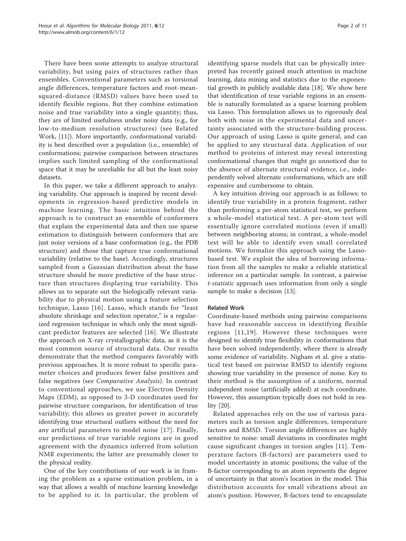There have been some attempts to analyze structural variability, but using pairs of structures rather than ensembles. Conventional parameters such as torsional angle differences, temperature factors and root-meansquared-distance (RMSD) values have been used to identify flexible regions. But they combine estimation noise and true variability into a single quantity; thus, they are of limited usefulness under noisy data (e.g., for low-to-medium resolution structures) (see Related Work, [\[11](#page-10-0)]). More importantly, conformational variability is best described over a population (i.e., ensemble) of conformations; pairwise comparison between structures implies such limited sampling of the conformational space that it may be unreliable for all but the least noisy datasets.

In this paper, we take a different approach to analyzing variability. Our approach is inspired by recent developments in regression-based predictive models in machine learning. The basic intuition behind the approach is to construct an ensemble of conformers that explain the experimental data and then use sparse estimation to distinguish between conformers that are just noisy versions of a base conformation (e.g., the PDB structure) and those that capture true conformational variability (relative to the base). Accordingly, structures sampled from a Gaussian distribution about the base structure should be more predictive of the base structure than structures displaying true variability. This allows us to separate out the biologically relevant variability due to physical motion using a feature selection technique, Lasso [[16\]](#page-10-0). Lasso, which stands for "least absolute shrinkage and selection operator," is a regularized regression technique in which only the most significant predictor features are selected [[16\]](#page-10-0). We illustrate the approach on X-ray crystallographic data, as it is the most common source of structural data. Our results demonstrate that the method compares favorably with previous approaches. It is more robust to specific parameter choices and produces fewer false positives and false negatives (see Comparative Analysis). In contrast to conventional approaches, we use Electron Density Maps (EDM), as opposed to 3-D coordinates used for pairwise structure comparison, for identification of true variability; this allows us greater power in accurately identifying true structural outliers without the need for any artificial parameters to model noise [\[17\]](#page-10-0). Finally, our predictions of true variable regions are in good agreement with the dynamics inferred from solution NMR experiments; the latter are presumably closer to the physical reality.

One of the key contributions of our work is in framing the problem as a sparse estimation problem, in a way that allows a wealth of machine learning knowledge to be applied to it. In particular, the problem of identifying sparse models that can be physically interpreted has recently gained much attention in machine learning, data mining and statistics due to the exponential growth in publicly available data [[18](#page-10-0)]. We show here that identification of true variable regions in an ensemble is naturally formulated as a sparse learning problem via Lasso. This formulation allows us to rigorously deal both with noise in the experimental data and uncertainty associated with the structure-building process. Our approach of using Lasso is quite general, and can be applied to any structural data. Application of our method to proteins of interest may reveal interesting conformational changes that might go unnoticed due to the absence of alternate structural evidence, i.e., independently solved alternate conformations, which are still expensive and cumbersome to obtain.

A key intuition driving our approach is as follows: to identify true variability in a protein fragment, rather than performing a per-atom statistical test, we perform a whole-model statistical test. A per-atom test will essentially ignore correlated motions (even if small) between neighboring atoms; in contrast, a whole-model test will be able to identify even small correlated motions. We formalize this approach using the Lassobased test. We exploit the idea of borrowing information from all the samples to make a reliable statistical inference on a particular sample. In contrast, a pairwise t-statistic approach uses information from only a single sample to make a decision [\[13\]](#page-10-0).

#### Related Work

Coordinate-based methods using pairwise comparisons have had reasonable success in identifying flexible regions [[11,19](#page-10-0)]. However these techniques were designed to identify true flexibility in conformations that have been solved independently, where there is already some evidence of variability. Nigham et al. give a statistical test based on pairwise RMSD to identify regions showing true variability in the presence of noise. Key to their method is the assumption of a uniform, normal independent noise (artificially added) at each coordinate. However, this assumption typically does not hold in reality [[20\]](#page-10-0).

Related approaches rely on the use of various parameters such as torsion angle differences, temperature factors and RMSD. Torsion angle differences are highly sensitive to noise: small deviations in coordinates might cause significant changes in torsion angles [[11](#page-10-0)]. Temperature factors (B-factors) are parameters used to model uncertainty in atomic positions; the value of the B-factor corresponding to an atom represents the degree of uncertainty in that atom's location in the model. This distribution accounts for small vibrations about an atom's position. However, B-factors tend to encapsulate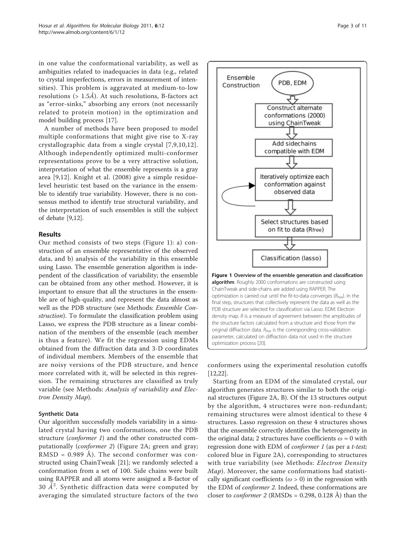<span id="page-3-0"></span>in one value the conformational variability, as well as ambiguities related to inadequacies in data (e.g., related to crystal imperfections, errors in measurement of intensities). This problem is aggravated at medium-to-low resolutions ( $> 1.5\AA$ ). At such resolutions, B-factors act as "error-sinks," absorbing any errors (not necessarily related to protein motion) in the optimization and model building process [\[17](#page-10-0)].

A number of methods have been proposed to model multiple conformations that might give rise to X-ray crystallographic data from a single crystal [[7,9](#page-10-0),[10](#page-10-0),[12\]](#page-10-0). Although independently optimized multi-conformer representations prove to be a very attractive solution, interpretation of what the ensemble represents is a gray area [\[9](#page-10-0),[12\]](#page-10-0). Knight et al. (2008) give a simple residuelevel heuristic test based on the variance in the ensemble to identify true variability. However, there is no consensus method to identify true structural variability, and the interpretation of such ensembles is still the subject of debate [[9,12\]](#page-10-0).

# Results

Our method consists of two steps (Figure 1): a) construction of an ensemble representative of the observed data, and b) analysis of the variability in this ensemble using Lasso. The ensemble generation algorithm is independent of the classification of variability; the ensemble can be obtained from any other method. However, it is important to ensure that all the structures in the ensemble are of high-quality, and represent the data almost as well as the PDB structure (see Methods: Ensemble Construction). To formulate the classification problem using Lasso, we express the PDB structure as a linear combination of the members of the ensemble (each member is thus a feature). We fit the regression using EDMs obtained from the diffraction data and 3-D coordinates of individual members. Members of the ensemble that are noisy versions of the PDB structure, and hence more correlated with it, will be selected in this regression. The remaining structures are classified as truly variable (see Methods: Analysis of variability and Electron Density Map).

#### Synthetic Data

Our algorithm successfully models variability in a simulated crystal having two conformations, one the PDB structure (*conformer 1*) and the other constructed computationally (conformer 2) (Figure [2A](#page-4-0); green and gray;  $RMSD = 0.989$  Å). The second conformer was constructed using ChainTweak [[21](#page-10-0)]; we randomly selected a conformation from a set of 100. Side chains were built using RAPPER and all atoms were assigned a B-factor of 30  $\AA^2$ . Synthetic diffraction data were computed by averaging the simulated structure factors of the two



conformers using the experimental resolution cutoffs [[12,22\]](#page-10-0).

Starting from an EDM of the simulated crystal, our algorithm generates structures similar to both the original structures (Figure [2A, B\)](#page-4-0). Of the 13 structures output by the algorithm, 4 structures were non-redundant; remaining structures were almost identical to these 4 structures. Lasso regression on these 4 structures shows that the ensemble correctly identifies the heterogeneity in the original data; 2 structures have coefficients  $\omega \approx 0$  with regression done with EDM of *conformer 1* (as per a *t-test*; colored blue in Figure [2A\)](#page-4-0), corresponding to structures with true variability (see Methods: Electron Density Map). Moreover, the same conformations had statistically significant coefficients ( $\omega > 0$ ) in the regression with the EDM of *conformer 2*. Indeed, these conformations are closer to *conformer* 2 (RMSDs =  $0.298$ ,  $0.128$  Å) than the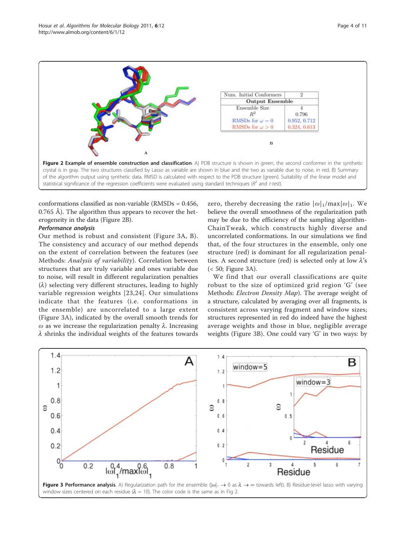<span id="page-4-0"></span>

conformations classified as non-variable (RMSDs = 0.456,  $0.765$  Å). The algorithm thus appears to recover the heterogeneity in the data (Figure 2B).

#### Performance analysis

Our method is robust and consistent (Figure 3A, B). The consistency and accuracy of our method depends on the extent of correlation between the features (see Methods: Analysis of variability). Correlation between structures that are truly variable and ones variable due to noise, will result in different regularization penalties  $(\lambda)$  selecting very different structures, leading to highly variable regression weights [[23](#page-10-0),[24\]](#page-11-0). Our simulations indicate that the features (i.e. conformations in the ensemble) are uncorrelated to a large extent (Figure 3A), indicated by the overall smooth trends for ω as we increase the regularization penalty  $λ$ . Increasing  $\lambda$  shrinks the individual weights of the features towards

zero, thereby decreasing the ratio  $|\omega|_1/max|\omega|_1$ . We believe the overall smoothness of the regularization path may be due to the efficiency of the sampling algorithm-ChainTweak, which constructs highly diverse and uncorrelated conformations. In our simulations we find that, of the four structures in the ensemble, only one structure (red) is dominant for all regularization penalties. A second structure (red) is selected only at low  $\lambda$ 's (< 50; Figure 3A).

We find that our overall classifications are quite robust to the size of optimized grid region 'G' (see Methods: Electron Density Map). The average weight of a structure, calculated by averaging over all fragments, is consistent across varying fragment and window sizes; structures represented in red do indeed have the highest average weights and those in blue, negligible average weights (Figure 3B). One could vary 'G' in two ways: by

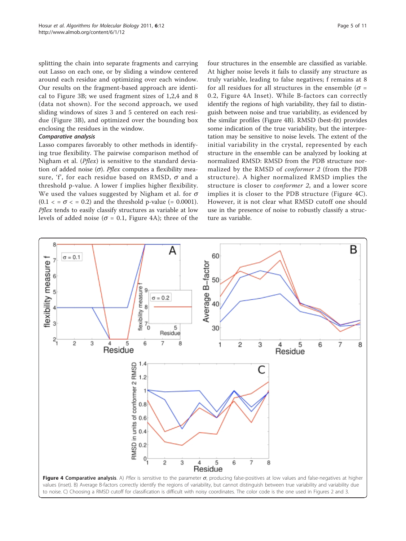splitting the chain into separate fragments and carrying out Lasso on each one, or by sliding a window centered around each residue and optimizing over each window. Our results on the fragment-based approach are identical to Figure [3B;](#page-4-0) we used fragment sizes of 1,2,4 and 8 (data not shown). For the second approach, we used sliding windows of sizes 3 and 5 centered on each residue (Figure [3B\)](#page-4-0), and optimized over the bounding box enclosing the residues in the window.

# Comparative analysis

Lasso compares favorably to other methods in identifying true flexibility. The pairwise comparison method of Nigham et al. (Pflex) is sensitive to the standard deviation of added noise  $(\sigma)$ . Pflex computes a flexibility measure, 'f', for each residue based on RMSD,  $\sigma$  and a threshold p-value. A lower f implies higher flexibility. We used the values suggested by Nigham et al. for  $\sigma$  $(0.1 < \sigma < 0.2)$  and the threshold p-value (= 0.0001). Pflex tends to easily classify structures as variable at low levels of added noise ( $\sigma$  = 0.1, Figure 4A); three of the

four structures in the ensemble are classified as variable. At higher noise levels it fails to classify any structure as truly variable, leading to false negatives; f remains at 8 for all residues for all structures in the ensemble ( $\sigma$  = 0.2, Figure 4A Inset). While B-factors can correctly identify the regions of high variability, they fail to distinguish between noise and true variability, as evidenced by the similar profiles (Figure 4B). RMSD (best-fit) provides some indication of the true variability, but the interpretation may be sensitive to noise levels. The extent of the initial variability in the crystal, represented by each structure in the ensemble can be analyzed by looking at normalized RMSD: RMSD from the PDB structure normalized by the RMSD of conformer 2 (from the PDB structure). A higher normalized RMSD implies the structure is closer to *conformer 2*, and a lower score implies it is closer to the PDB structure (Figure 4C). However, it is not clear what RMSD cutoff one should use in the presence of noise to robustly classify a structure as variable.

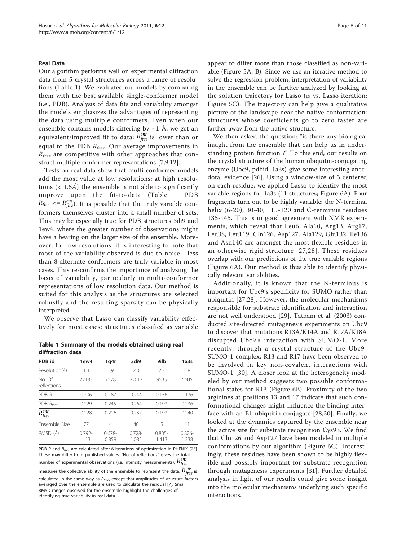#### Real Data

Our algorithm performs well on experimental diffraction data from 5 crystal structures across a range of resolutions (Table 1). We evaluated our models by comparing them with the best available single-conformer model (i.e., PDB). Analysis of data fits and variability amongst the models emphasizes the advantages of representing the data using multiple conformers. Even when our ensemble contains models differing by  $\sim$ 1 Å, we get an equivalent/improved fit to data: *Rens free* is lower than or equal to the PDB  $R_{free}$ . Our average improvements in  $R_{free}$  are competitive with other approaches that construct multiple-conformer representations [\[7,9,12\]](#page-10-0).

Tests on real data show that multi-conformer models add the most value at low resolutions; at high resolutions  $\left($  < 1.5Å) the ensemble is not able to significantly improve upon the fit-to-data (Table 1 PDB  $R_{\text{free}} \leq R_{\text{free}}^{\text{ens}}$ ). It is possible that the truly variable conformers themselves cluster into a small number of sets. This may be especially true for PDB structures 3di9 and 1ew4, where the greater number of observations might have a bearing on the larger size of the ensemble. Moreover, for low resolutions, it is interesting to note that most of the variability observed is due to noise - less than 8 alternate conformers are truly variable in most cases. This re-confirms the importance of analyzing the basis of variability, particularly in multi-conformer representations of low resolution data. Our method is suited for this analysis as the structures are selected robustly and the resulting sparsity can be physically interpreted.

We observe that Lasso can classify variability effectively for most cases; structures classified as variable

Table 1 Summary of the models obtained using real diffraction data

| PDB id                | 1ew4              | 1q4r               | 3di9               | 9ilb               | 1a3s               |
|-----------------------|-------------------|--------------------|--------------------|--------------------|--------------------|
| Resolution(Å)         | 1.4               | 1.9                | 2.0                | 2.3                | 2.8                |
| No. Of<br>reflections | 22183             | 7578               | 22017              | 9535               | 5605               |
| PDB R                 | 0.206             | 0.187              | 0.244              | 0.156              | 0.176              |
| $PDB R_{free}$        | 0.229             | 0.245              | 0.264              | 0.193              | 0.236              |
| $R_{free}^{ens}$      | 0.228             | 0.216              | 0.237              | 0.193              | 0.240              |
| Ensemble Size         | 77                | 4                  | 40                 | 5                  | 11                 |
| RMSD (Å)              | $0.792 -$<br>1.13 | $0.678 -$<br>0.859 | $0.728 -$<br>1.085 | $0.805 -$<br>1.413 | $0.826 -$<br>1.238 |

PDB R and  $R_{free}$  are calculated after 6 iterations of optimization in PHENIX [\[25](#page-11-0)]. These may differ from published values. "No. of reflections" gives the total number of experimental observations (i.e. intensity measurements). *Rens free*

measures the collective ability of the ensemble to represent the data. *Rens free* is calculated in the same way as  $R_{free}$ , except that amplitudes of structure factors averaged over the ensemble are used to calculate the residual [\[7\]](#page-10-0). Small RMSD ranges observed for the ensemble highlight the challenges of identifying true variability in real data.

appear to differ more than those classified as non-variable (Figure [5A, B](#page-7-0)). Since we use an iterative method to solve the regression problem, interpretation of variability in the ensemble can be further analyzed by looking at the solution trajectory for Lasso ( $\omega$  vs. Lasso iteration; Figure [5C\)](#page-7-0). The trajectory can help give a qualitative picture of the landscape near the native conformation: structures whose coefficients go to zero faster are farther away from the native structure.

We then asked the question: "is there any biological insight from the ensemble that can help us in understanding protein function ?" To this end, our results on the crystal structure of the human ubiquitin-conjugating enzyme (Ubc9, pdbid: 1a3s) give some interesting anecdotal evidence [\[26](#page-11-0)]. Using a window-size of 5 centered on each residue, we applied Lasso to identify the most variable regions for 1a3s (11 structures; Figure [6A\)](#page-8-0). Four fragments turn out to be highly variable: the N-terminal helix (6-20), 30-40, 115-120 and C-terminus residues 135-145. This is in good agreement with NMR experiments, which reveal that Leu6, Ala10, Arg13, Arg17, Leu38, Leu119, Gln126, Asp127, Ala129, Glu132, Ile136 and Asn140 are amongst the most flexible residues in an otherwise rigid structure [\[27](#page-11-0),[28](#page-11-0)]. These residues overlap with our predictions of the true variable regions (Figure [6A\)](#page-8-0). Our method is thus able to identify physically relevant variabilities.

Additionally, it is known that the N-terminus is important for Ubc9's specificity for SUMO rather than ubiquitin [[27,28\]](#page-11-0). However, the molecular mechanisms responsible for substrate identification and interaction are not well understood [[29\]](#page-11-0). Tatham et al. (2003) conducted site-directed mutagenesis experiments on Ubc9 to discover that mutations R13A/K14A and R17A/K18A disrupted Ubc9's interaction with SUMO-1. More recently, through a crystal structure of the Ubc9- SUMO-1 complex, R13 and R17 have been observed to be involved in key non-covalent interactions with SUMO-1 [\[30](#page-11-0)]. A closer look at the heterogeneity modeled by our method suggests two possible conformational states for R13 (Figure [6B](#page-8-0)). Proximity of the two arginines at positions 13 and 17 indicate that such conformational changes might influence the binding interface with an E1-ubiquitin conjugate [[28,30\]](#page-11-0). Finally, we looked at the dynamics captured by the ensemble near the active site for substrate recognition Cys93. We find that Gln126 and Asp127 have been modeled in multiple conformations by our algorithm (Figure [6C\)](#page-8-0). Interestingly, these residues have been shown to be highly flexible and possibly important for substrate recognition through mutagenesis experiments [[31\]](#page-11-0). Further detailed analysis in light of our results could give some insight into the molecular mechanisms underlying such specific interactions.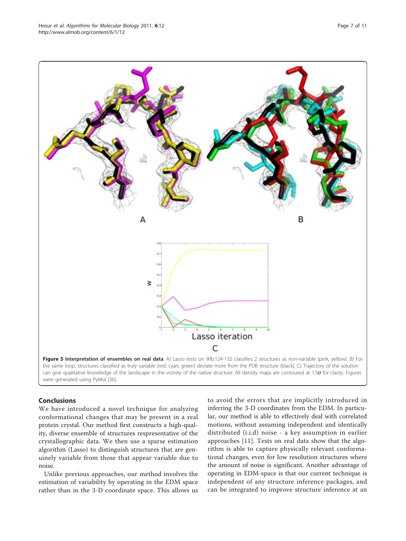<span id="page-7-0"></span>

# Conclusions

We have introduced a novel technique for analyzing conformational changes that may be present in a real protein crystal. Our method first constructs a high-quality, diverse ensemble of structures respresentative of the crystallographic data. We then use a sparse estimation algorithm (Lasso) to distinguish structures that are genuinely variable from those that appear variable due to noise.

Unlike previous approaches, our method involves the estimation of variability by operating in the EDM space rather than in the 3-D coordinate space. This allows us to avoid the errors that are implicitly introduced in inferring the 3-D coordinates from the EDM. In particular, our method is able to effectively deal with correlated motions, without assuming independent and identically distributed (i.i.d) noise - a key assumption in earlier approaches [\[11](#page-10-0)]. Tests on real data show that the algorithm is able to capture physically relevant conformational changes, even for low resolution structures where the amount of noise is significant. Another advantage of operating in EDM-space is that our current technique is independent of any structure inference packages, and can be integrated to improve structure inference at an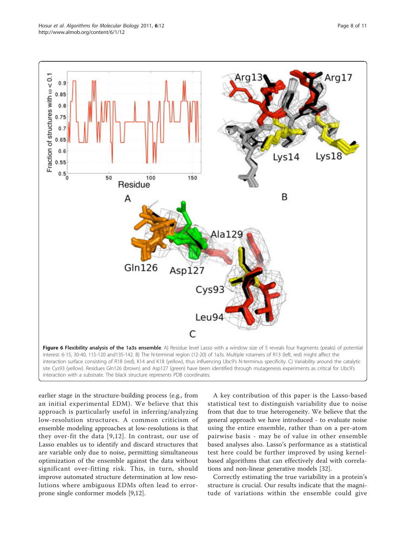<span id="page-8-0"></span>

interest: 6-15, 30-40, 115-120 and135-142. B) The N-terminal region (12-20) of 1a3s. Multiple rotamers of R13 (left, red) might affect the interaction surface consisting of R18 (red), K14 and K18 (yellow), thus influencing Ubc9's N-terminus specificity. C) Variability around the catalytic site Cys93 (yellow). Residues Gln126 (brown) and Asp127 (green) have been identified through mutagenesis experiments as critical for Ubc9's interaction with a substrate. The black structure represents PDB coordinates.

earlier stage in the structure-building process (e.g., from an initial experimental EDM). We believe that this approach is particularly useful in inferring/analyzing low-resolution structures. A common criticism of ensemble modeling approaches at low-resolutions is that they over-fit the data [[9,12\]](#page-10-0). In contrast, our use of Lasso enables us to identify and discard structures that are variable only due to noise, permitting simultaneous optimization of the ensemble against the data without significant over-fitting risk. This, in turn, should improve automated structure determination at low resolutions where ambiguous EDMs often lead to errorprone single conformer models [[9](#page-10-0),[12](#page-10-0)].

A key contribution of this paper is the Lasso-based statistical test to distinguish variability due to noise from that due to true heterogeneity. We believe that the general approach we have introduced - to evaluate noise using the entire ensemble, rather than on a per-atom pairwise basis - may be of value in other ensemble based analyses also. Lasso's performance as a statistical test here could be further improved by using kernelbased algorithms that can effectively deal with correlations and non-linear generative models [[32\]](#page-11-0).

Correctly estimating the true variability in a protein's structure is crucial. Our results indicate that the magnitude of variations within the ensemble could give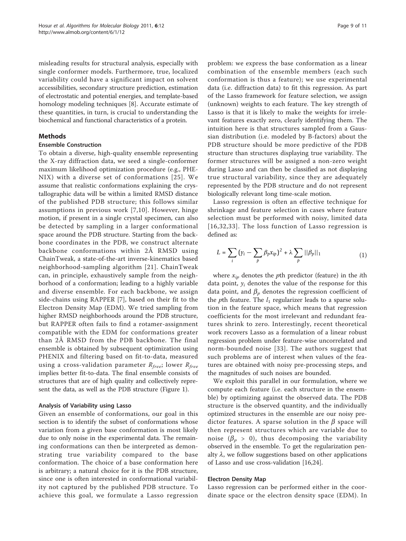misleading results for structural analysis, especially with single conformer models. Furthermore, true, localized variability could have a significant impact on solvent accessibilities, secondary structure prediction, estimation of electrostatic and potential energies, and template-based homology modeling techniques [\[8](#page-10-0)]. Accurate estimate of these quantities, in turn, is crucial to understanding the biochemical and functional characteristics of a protein.

# Methods

# Ensemble Construction

To obtain a diverse, high-quality ensemble representing the X-ray diffraction data, we seed a single-conformer maximum likelihood optimization procedure (e.g., PHE-NIX) with a diverse set of conformations [[25](#page-11-0)]. We assume that realistic conformations explaining the crystallographic data will be within a limited RMSD distance of the published PDB structure; this follows similar assumptions in previous work [[7](#page-10-0),[10](#page-10-0)]. However, hinge motion, if present in a single crystal specimen, can also be detected by sampling in a larger conformational space around the PDB structure. Starting from the backbone coordinates in the PDB, we construct alternate backbone conformations within 2Å RMSD using ChainTweak, a state-of-the-art inverse-kinematics based neighborhood-sampling algorithm [[21](#page-10-0)]. ChainTweak can, in principle, exhaustively sample from the neighborhood of a conformation; leading to a highly variable and diverse ensemble. For each backbone, we assign side-chains using RAPPER [\[7](#page-10-0)], based on their fit to the Electron Density Map (EDM). We tried sampling from higher RMSD neighborhoods around the PDB structure, but RAPPER often fails to find a rotamer-assignment compatible with the EDM for conformations greater than 2Å RMSD from the PDB backbone. The final ensemble is obtained by subsequent optimization using PHENIX and filtering based on fit-to-data, measured using a cross-validation parameter  $R_{free}$ ; lower  $R_{free}$ implies better fit-to-data. The final ensemble consists of structures that are of high quality and collectively represent the data, as well as the PDB structure (Figure [1](#page-3-0)).

# Analysis of Variability using Lasso

Given an ensemble of conformations, our goal in this section is to identify the subset of conformations whose variation from a given base conformation is most likely due to only noise in the experimental data. The remaining conformations can then be interpreted as demonstrating true variability compared to the base conformation. The choice of a base conformation here is arbitrary; a natural choice for it is the PDB structure, since one is often interested in conformational variability not captured by the published PDB structure. To achieve this goal, we formulate a Lasso regression

problem: we express the base conformation as a linear combination of the ensemble members (each such conformation is thus a feature); we use experimental data (i.e. diffraction data) to fit this regression. As part of the Lasso framework for feature selection, we assign (unknown) weights to each feature. The key strength of Lasso is that it is likely to make the weights for irrelevant features exactly zero, clearly identifying them. The intuition here is that structures sampled from a Gaussian distribution (i.e. modeled by B-factors) about the PDB structure should be more predictive of the PDB structure than structures displaying true variability. The former structures will be assigned a non-zero weight during Lasso and can then be classified as not displaying true structural variability, since they are adequately represented by the PDB structure and do not represent biologically relevant long time-scale motion.

Lasso regression is often an effective technique for shrinkage and feature selection in cases where feature selection must be performed with noisy, limited data [[16](#page-10-0),[32](#page-11-0),[33\]](#page-11-0). The loss function of Lasso regression is defined as:

$$
L = \sum_{i} \left( y_i - \sum_{p} \beta_p x_{ip} \right)^2 + \lambda \sum_{p} ||\beta_p||_1 \tag{1}
$$

where  $x_{ip}$  denotes the pth predictor (feature) in the *i*th data point,  $y_i$  denotes the value of the response for this data point, and  $\beta_p$  denotes the regression coefficient of the pth feature. The  $l_1$  regularizer leads to a sparse solution in the feature space, which means that regression coefficients for the most irrelevant and redundant features shrink to zero. Interestingly, recent theoretical work recovers Lasso as a formulation of a linear robust regression problem under feature-wise uncorrelated and norm-bounded noise [[33](#page-11-0)]. The authors suggest that such problems are of interest when values of the features are obtained with noisy pre-processing steps, and the magnitudes of such noises are bounded.

We exploit this parallel in our formulation, where we compute each feature (i.e. each structure in the ensemble) by optimizing against the observed data. The PDB structure is the observed quantity, and the individually optimized structures in the ensemble are our noisy predictor features. A sparse solution in the  $\beta$  space will then represent structures which are variable due to noise ( $\beta_p > 0$ ), thus decomposing the variability observed in the ensemble. To get the regularization penalty  $\lambda$ , we follow suggestions based on other applications of Lasso and use cross-validation [[16,](#page-10-0)[24](#page-11-0)].

#### Electron Density Map

Lasso regression can be performed either in the coordinate space or the electron density space (EDM). In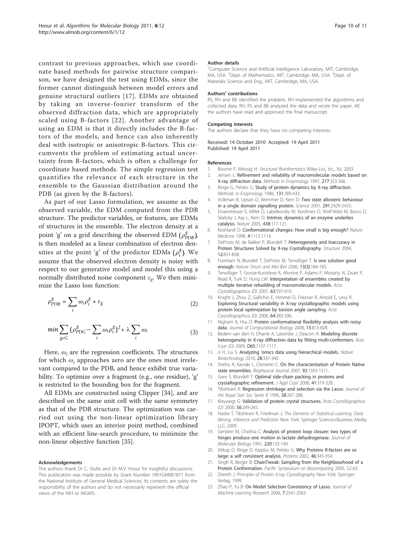<span id="page-10-0"></span>contrast to previous approaches, which use coordinate based methods for pairwise structure comparison, we have designed the test using EDMs, since the former cannot distinguish between model errors and genuine structural outliers [17]. EDMs are obtained by taking an inverse-fourier transform of the observed diffraction data, which are appropriately scaled using B-factors [22]. Another advantage of using an EDM is that it directly includes the B-factors of the models, and hence can also inherently deal with isotropic or anisotropic B-factors. This circumvents the problem of estimating actual uncertainty from B-factors, which is often a challenge for coordinate based methods. The simple regression test quantifies the relevance of each structure in the ensemble to the Gaussian distribution around the PDB (as given by the B-factors).

As part of our Lasso formulation, we assume as the observed variable, the EDM computed from the PDB structure. The predictor variables, or features, are EDMs of structures in the ensemble. The electron density at a point 'g' on a grid describing the observed EDM  $(\rho_{\rm PDB}^{\rm g})$ , is then modeled as a linear combination of electron densities at the point 'g' of the predictor EDMs  $(\rho_i^g)$ . We assume that the observed electron density is noisy with respect to our generative model and model this using a normally distributed noise component  $\varepsilon_{\varrho}$ . We then minimize the Lasso loss function:

$$
\rho_{\rm PDB}^g = \sum_i \omega_i \rho_i^g + \varepsilon_g \tag{2}
$$

$$
min \sum_{g \in G} (\rho_{PDG}^g - \sum_i \omega_i \rho_i^g)^2 + \lambda \sum_i \omega_i \tag{3}
$$

Here,  $\omega_i$  are the regression coefficients. The structures for which  $\omega_i$  approaches zero are the ones most irrelevant compared to the PDB, and hence exhibit true variability. To optimize over a fragment (e.g., one residue), 'g' is restricted to the bounding box for the fragment.

All EDMs are constructed using Clipper [[34\]](#page-11-0), and are described on the same unit cell with the same symmetry as that of the PDB structure. The optimization was carried out using the non-linear optimization library IPOPT, which uses an interior point method, combined with an efficient line-search procedure, to minimize the non-linear objective function [[35\]](#page-11-0).

#### Acknowledgements

The authors thank Dr C. Stultz and Dr M.V. Hosur for insightful discussions. This publication was made possible by Grant Number 1R01GM081871 from the National Institute of General Medical Sciences. Its contents are solely the responsibility of the authors and do not necessarily represent the official views of the NIH or NIGMS.

#### Author details

<sup>1</sup>Computer Science and Artificial Intelligence Laboratory, MIT, Cambridge, MA, USA. <sup>2</sup>Dept. of Mathematics, MIT, Cambridge, MA, USA. <sup>3</sup>Dept. of Materials Science and Eng., MIT, Cambridge, MA, USA.

#### Authors' contributions

RS, RH and BB identified the problem. RH implemented the algorithms and collected data. RH, RS and BB analyzed the data and wrote the paper. All the authors have read and approved the final manuscript.

#### Competing interests

The authors declare that they have no competing interests.

#### Received: 14 October 2010 Accepted: 19 April 2011 Published: 19 April 2011

#### References

- 1. Bourne P, Weissig H: Structural Bioinformatics Wiley-Liss, Inc., NJ; 2003.<br>2. Lensen L: **Befinement and reliability of macromolecular models has**
- Jensen L: [Refinement and reliability of macromolecular models based on](http://www.ncbi.nlm.nih.gov/pubmed/18488317?dopt=Abstract) [X-ray diffraction data.](http://www.ncbi.nlm.nih.gov/pubmed/18488317?dopt=Abstract) Methods in Enzymology 1997, 277:353-366.
- 3. Ringe G, Petsko G: [Study of protein dynamics by X-ray diffraction.](http://www.ncbi.nlm.nih.gov/pubmed/3773767?dopt=Abstract) Methods in Enzymology 1986, 131:389-433.
- 4. Volkman B, Lipson D, Wemmer D, Kern D: [Two state allosteric behaviour](http://www.ncbi.nlm.nih.gov/pubmed/11264542?dopt=Abstract) [in a single domain signalling protein.](http://www.ncbi.nlm.nih.gov/pubmed/11264542?dopt=Abstract) Science 2001, 291:2429-2433.
- 5. Eissenmesser E, Millet O, Labeikovsky W, Korzhnev D, Wolf-Watz M, Bosco D, Skalicky J, Kay L, Kern D: [Intrinsic dynamics of an enzyme underlies](http://www.ncbi.nlm.nih.gov/pubmed/16267559?dopt=Abstract) [catalysis.](http://www.ncbi.nlm.nih.gov/pubmed/16267559?dopt=Abstract) Nature 2005, 438:117-121.
- 6. Koshland D: [Conformational changes: How small is big enough?](http://www.ncbi.nlm.nih.gov/pubmed/9771734?dopt=Abstract) Nature Medicine 1998, 4:1112-1114.
- 7. DePristo M, de Bakker P, Blundell T: [Heterogeneity and Inaccuracy in](http://www.ncbi.nlm.nih.gov/pubmed/15130475?dopt=Abstract) [Protein Structures Solved by X-ray Crystallography.](http://www.ncbi.nlm.nih.gov/pubmed/15130475?dopt=Abstract) Structure 2004, 12:831-838.
- 8. Furnham N, Blundell T, DePristo M, Terwilliger T: Is one solution good enough. Nature Struct and Mol Biol 2006, 13(3):184-185.
- 9. Terwilliger T, Grosse-Kunstleve R, Afonine P, Adams P, Moriarty N, Zwart P, Read R, Turk D, Hung LW: Interpretation of ensembles created by multiple iterative rebuilding of macromolecular models. Acta Crystallographica (D) 2007, 63:597-610.
- 10. Knight J, Zhou Z, Gallichio E, Himmel D, Friesner R, Arnold E, Levy R: Exploring Structural variability in X-ray crystallographic models using protein local optimization by torsion angle sampling. Acta Crystallographica (D) 2008, 64:383-396.
- 11. Nigham A, Hsu D: [Protein conformational flexibility analysis with noisy](http://www.ncbi.nlm.nih.gov/pubmed/18652527?dopt=Abstract) [data.](http://www.ncbi.nlm.nih.gov/pubmed/18652527?dopt=Abstract) Journal of Computational Biology 2008, 15:813-828.
- 12. Bedem van den H, Dhanik A, Latombe J, Deacon A: Modeling discrete heterogeneity in X-ray diffraction data by fitting multi-conformers. Acta Cryst (D) 2009, D65:1107-1117.
- 13. Ji H, Liu S: Analyzing '[omics data using hierarchical models.](http://www.ncbi.nlm.nih.gov/pubmed/20379180?dopt=Abstract) Nature Biotechnology 2010, 28:337-340.
- 14. Shehu A, Kavraki L, Clementi C: [On the characterization of Protein Native](http://www.ncbi.nlm.nih.gov/pubmed/17158570?dopt=Abstract) [state ensembles.](http://www.ncbi.nlm.nih.gov/pubmed/17158570?dopt=Abstract) Biophysical Journal 2007, 92:1503-1511.
- 15. Gore S, Blundell T: Optimal side-chain packing in proteins and crystallographic refinement. J Appl Cryst 2008, 41:319-328.
- 16. Tibshirani R: Regression shrinkage and selection via the Lasso. Journal of the Royal Stat Soc Series B 1996, 58:267-288.
- 17. Kleywegt G: Validation of protein crystal structures. Acta Crystallographica (D) 2000, 56:249-265.
- 18. Hastie T, Tibshirani R, Friedman J: The Elements of Statistical Learning: Data Mining, Inference and Prediction New York: Springer Science+Business Media, LLC; 2009.
- 19. Gerstein M, Chothia C: [Analysis of protein loop closure: two types of](http://www.ncbi.nlm.nih.gov/pubmed/2067013?dopt=Abstract) [hinges produce one motion in lactate dehydrogenase.](http://www.ncbi.nlm.nih.gov/pubmed/2067013?dopt=Abstract) Journal of Molecular Biology 1991, 220:133-149.
- 20. Vitkup D, Ringe D, Karplus M, Petsko G: [Why Proteins R-factors are so](http://www.ncbi.nlm.nih.gov/pubmed/11835510?dopt=Abstract) [large: a self consistent analysis.](http://www.ncbi.nlm.nih.gov/pubmed/11835510?dopt=Abstract) Proteins 2002, 46:345-354.
- 21. Singh R, Berger B: ChainTweak: Sampling from the Neighbourhood of a Protein Conformation. Pacific Symposium on Biocomputing 2005, 52-63.
- 22. Drenth J: Principles of Protein X-ray Crystallography New York: Springer-Verlag; 1999.
- 23. Zhao P, Yu B: On Model Selection Consistency of Lasso. Journal of Machine Learning Research 2006, 7:2541-2563.